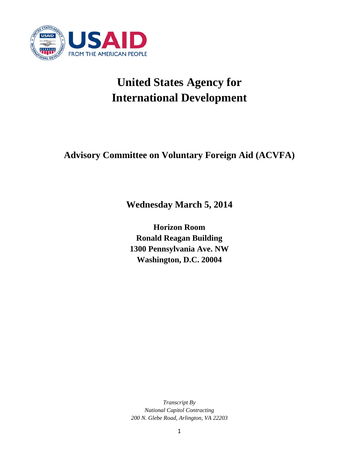

# **United States Agency for International Development**

**Advisory Committee on Voluntary Foreign Aid (ACVFA)** 

**Wednesday March 5, 2014**

**Horizon Room Ronald Reagan Building 1300 Pennsylvania Ave. NW Washington, D.C. 20004** 

*Transcript By National Capitol Contracting 200 N. Glebe Road, Arlington, VA 22203*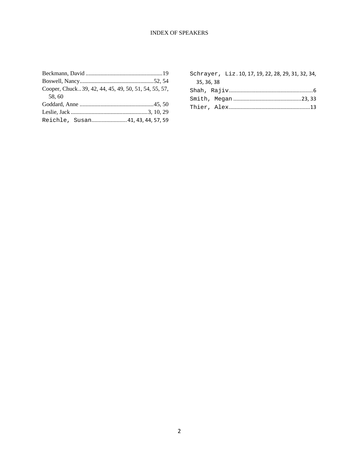# INDEX OF SPEAKERS

| Cooper, Chuck39, 42, 44, 45, 49, 50, 51, 54, 55, 57, |  |
|------------------------------------------------------|--|
| 58,60                                                |  |
|                                                      |  |
|                                                      |  |
| Reichle, Susan 41, 43, 44, 57, 59                    |  |

|            | Schrayer, Liz. 10, 17, 19, 22, 28, 29, 31, 32, 34, |  |
|------------|----------------------------------------------------|--|
| 35, 36, 38 |                                                    |  |
|            |                                                    |  |
|            |                                                    |  |
|            |                                                    |  |
|            |                                                    |  |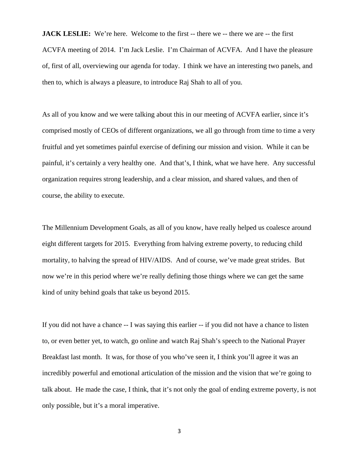**JACK LESLIE:** We're here. Welcome to the first -- there we -- there we are -- the first ACVFA meeting of 2014. I'm Jack Leslie. I'm Chairman of ACVFA. And I have the pleasure of, first of all, overviewing our agenda for today. I think we have an interesting two panels, and then to, which is always a pleasure, to introduce Raj Shah to all of you.

As all of you know and we were talking about this in our meeting of ACVFA earlier, since it's comprised mostly of CEOs of different organizations, we all go through from time to time a very fruitful and yet sometimes painful exercise of defining our mission and vision. While it can be painful, it's certainly a very healthy one. And that's, I think, what we have here. Any successful organization requires strong leadership, and a clear mission, and shared values, and then of course, the ability to execute.

The Millennium Development Goals, as all of you know, have really helped us coalesce around eight different targets for 2015. Everything from halving extreme poverty, to reducing child mortality, to halving the spread of HIV/AIDS. And of course, we've made great strides. But now we're in this period where we're really defining those things where we can get the same kind of unity behind goals that take us beyond 2015.

If you did not have a chance -- I was saying this earlier -- if you did not have a chance to listen to, or even better yet, to watch, go online and watch Raj Shah's speech to the National Prayer Breakfast last month. It was, for those of you who've seen it, I think you'll agree it was an incredibly powerful and emotional articulation of the mission and the vision that we're going to talk about. He made the case, I think, that it's not only the goal of ending extreme poverty, is not only possible, but it's a moral imperative.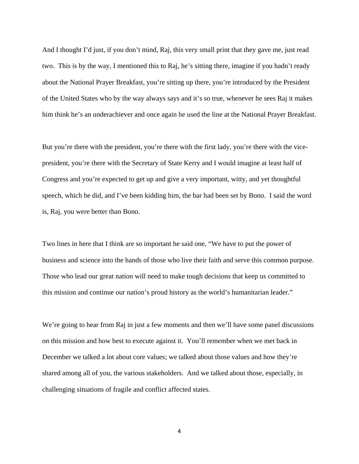And I thought I'd just, if you don't mind, Raj, this very small print that they gave me, just read two. This is by the way, I mentioned this to Raj, he's sitting there, imagine if you hadn't ready about the National Prayer Breakfast, you're sitting up there, you're introduced by the President of the United States who by the way always says and it's so true, whenever he sees Raj it makes him think he's an underachiever and once again he used the line at the National Prayer Breakfast.

But you're there with the president, you're there with the first lady, you're there with the vicepresident, you're there with the Secretary of State Kerry and I would imagine at least half of Congress and you're expected to get up and give a very important, witty, and yet thoughtful speech, which he did, and I've been kidding him, the bar had been set by Bono. I said the word is, Raj, you were better than Bono.

Two lines in here that I think are so important he said one, "We have to put the power of business and science into the hands of those who live their faith and serve this common purpose. Those who lead our great nation will need to make tough decisions that keep us committed to this mission and continue our nation's proud history as the world's humanitarian leader."

We're going to hear from Raj in just a few moments and then we'll have some panel discussions on this mission and how best to execute against it. You'll remember when we met back in December we talked a lot about core values; we talked about those values and how they're shared among all of you, the various stakeholders. And we talked about those, especially, in challenging situations of fragile and conflict affected states.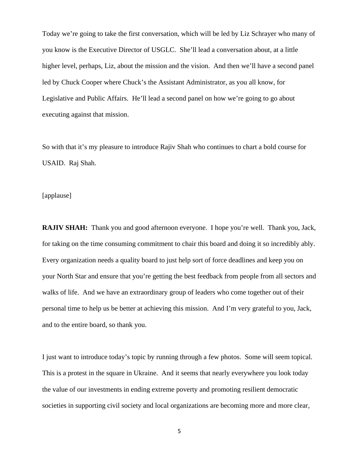Today we're going to take the first conversation, which will be led by Liz Schrayer who many of you know is the Executive Director of USGLC. She'll lead a conversation about, at a little higher level, perhaps, Liz, about the mission and the vision. And then we'll have a second panel led by Chuck Cooper where Chuck's the Assistant Administrator, as you all know, for Legislative and Public Affairs. He'll lead a second panel on how we're going to go about executing against that mission.

So with that it's my pleasure to introduce Rajiv Shah who continues to chart a bold course for USAID. Raj Shah.

[applause]

**RAJIV SHAH:** Thank you and good afternoon everyone. I hope you're well. Thank you, Jack, for taking on the time consuming commitment to chair this board and doing it so incredibly ably. Every organization needs a quality board to just help sort of force deadlines and keep you on your North Star and ensure that you're getting the best feedback from people from all sectors and walks of life. And we have an extraordinary group of leaders who come together out of their personal time to help us be better at achieving this mission. And I'm very grateful to you, Jack, and to the entire board, so thank you.

I just want to introduce today's topic by running through a few photos. Some will seem topical. This is a protest in the square in Ukraine. And it seems that nearly everywhere you look today the value of our investments in ending extreme poverty and promoting resilient democratic societies in supporting civil society and local organizations are becoming more and more clear,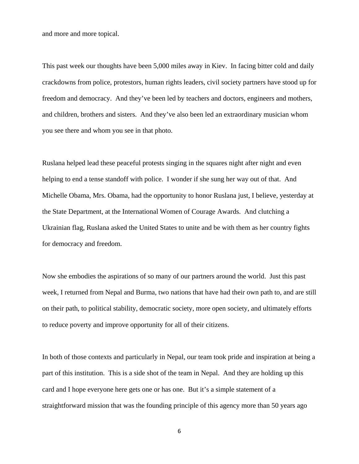and more and more topical.

This past week our thoughts have been 5,000 miles away in Kiev. In facing bitter cold and daily crackdowns from police, protestors, human rights leaders, civil society partners have stood up for freedom and democracy. And they've been led by teachers and doctors, engineers and mothers, and children, brothers and sisters. And they've also been led an extraordinary musician whom you see there and whom you see in that photo.

Ruslana helped lead these peaceful protests singing in the squares night after night and even helping to end a tense standoff with police. I wonder if she sung her way out of that. And Michelle Obama, Mrs. Obama, had the opportunity to honor Ruslana just, I believe, yesterday at the State Department, at the International Women of Courage Awards. And clutching a Ukrainian flag, Ruslana asked the United States to unite and be with them as her country fights for democracy and freedom.

Now she embodies the aspirations of so many of our partners around the world. Just this past week, I returned from Nepal and Burma, two nations that have had their own path to, and are still on their path, to political stability, democratic society, more open society, and ultimately efforts to reduce poverty and improve opportunity for all of their citizens.

In both of those contexts and particularly in Nepal, our team took pride and inspiration at being a part of this institution. This is a side shot of the team in Nepal. And they are holding up this card and I hope everyone here gets one or has one. But it's a simple statement of a straightforward mission that was the founding principle of this agency more than 50 years ago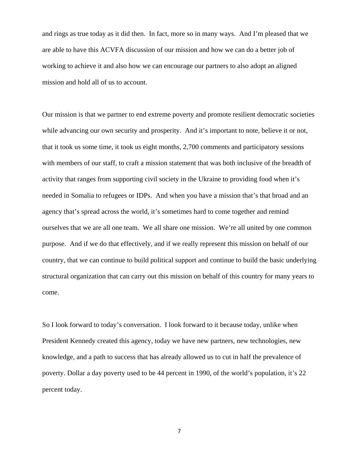and rings as true today as it did then. In fact, more so in many ways. And I'm pleased that we are able to have this ACVFA discussion of our mission and how we can do a better job of working to achieve it and also how we can encourage our partners to also adopt an aligned mission and hold all of us to account.

Our mission is that we partner to end extreme poverty and promote resilient democratic societies while advancing our own security and prosperity. And it's important to note, believe it or not, that it took us some time, it took us eight months, 2,700 comments and participatory sessions with members of our staff, to craft a mission statement that was both inclusive of the breadth of activity that ranges from supporting civil society in the Ukraine to providing food when it's needed in Somalia to refugees or IDPs. And when you have a mission that's that broad and an agency that's spread across the world, it's sometimes hard to come together and remind ourselves that we are all one team. We all share one mission. We're all united by one common purpose. And if we do that effectively, and if we really represent this mission on behalf of our country, that we can continue to build political support and continue to build the basic underlying structural organization that can carry out this mission on behalf of this country for many years to come.

So I look forward to today's conversation. I look forward to it because today, unlike when President Kennedy created this agency, today we have new partners, new technologies, new knowledge, and a path to success that has already allowed us to cut in half the prevalence of poverty. Dollar a day poverty used to be 44 percent in 1990, of the world's population, it's 22 percent today.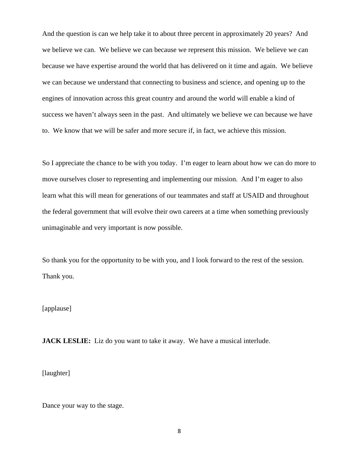And the question is can we help take it to about three percent in approximately 20 years? And we believe we can. We believe we can because we represent this mission. We believe we can because we have expertise around the world that has delivered on it time and again. We believe we can because we understand that connecting to business and science, and opening up to the engines of innovation across this great country and around the world will enable a kind of success we haven't always seen in the past. And ultimately we believe we can because we have to. We know that we will be safer and more secure if, in fact, we achieve this mission.

So I appreciate the chance to be with you today. I'm eager to learn about how we can do more to move ourselves closer to representing and implementing our mission. And I'm eager to also learn what this will mean for generations of our teammates and staff at USAID and throughout the federal government that will evolve their own careers at a time when something previously unimaginable and very important is now possible.

So thank you for the opportunity to be with you, and I look forward to the rest of the session. Thank you.

# [applause]

**JACK LESLIE:** Liz do you want to take it away. We have a musical interlude.

[laughter]

Dance your way to the stage.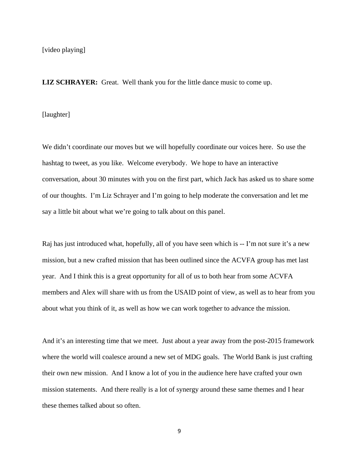**LIZ SCHRAYER:** Great. Well thank you for the little dance music to come up.

[laughter]

We didn't coordinate our moves but we will hopefully coordinate our voices here. So use the hashtag to tweet, as you like. Welcome everybody. We hope to have an interactive conversation, about 30 minutes with you on the first part, which Jack has asked us to share some of our thoughts. I'm Liz Schrayer and I'm going to help moderate the conversation and let me say a little bit about what we're going to talk about on this panel.

Raj has just introduced what, hopefully, all of you have seen which is -- I'm not sure it's a new mission, but a new crafted mission that has been outlined since the ACVFA group has met last year. And I think this is a great opportunity for all of us to both hear from some ACVFA members and Alex will share with us from the USAID point of view, as well as to hear from you about what you think of it, as well as how we can work together to advance the mission.

And it's an interesting time that we meet. Just about a year away from the post-2015 framework where the world will coalesce around a new set of MDG goals. The World Bank is just crafting their own new mission. And I know a lot of you in the audience here have crafted your own mission statements. And there really is a lot of synergy around these same themes and I hear these themes talked about so often.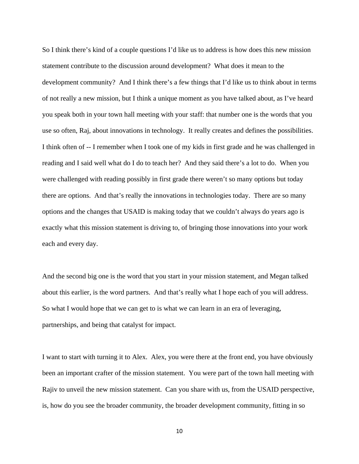So I think there's kind of a couple questions I'd like us to address is how does this new mission statement contribute to the discussion around development? What does it mean to the development community? And I think there's a few things that I'd like us to think about in terms of not really a new mission, but I think a unique moment as you have talked about, as I've heard you speak both in your town hall meeting with your staff: that number one is the words that you use so often, Raj, about innovations in technology. It really creates and defines the possibilities. I think often of -- I remember when I took one of my kids in first grade and he was challenged in reading and I said well what do I do to teach her? And they said there's a lot to do. When you were challenged with reading possibly in first grade there weren't so many options but today there are options. And that's really the innovations in technologies today. There are so many options and the changes that USAID is making today that we couldn't always do years ago is exactly what this mission statement is driving to, of bringing those innovations into your work each and every day.

And the second big one is the word that you start in your mission statement, and Megan talked about this earlier, is the word partners. And that's really what I hope each of you will address. So what I would hope that we can get to is what we can learn in an era of leveraging, partnerships, and being that catalyst for impact.

I want to start with turning it to Alex. Alex, you were there at the front end, you have obviously been an important crafter of the mission statement. You were part of the town hall meeting with Rajiv to unveil the new mission statement. Can you share with us, from the USAID perspective, is, how do you see the broader community, the broader development community, fitting in so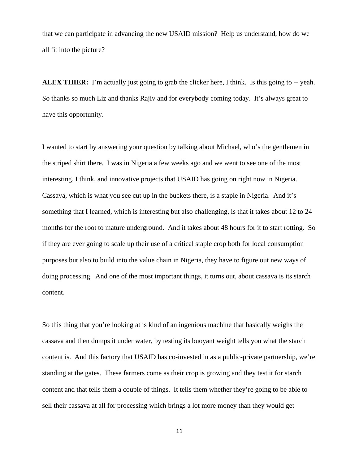that we can participate in advancing the new USAID mission? Help us understand, how do we all fit into the picture?

**ALEX THIER:** I'm actually just going to grab the clicker here, I think. Is this going to -- yeah. So thanks so much Liz and thanks Rajiv and for everybody coming today. It's always great to have this opportunity.

I wanted to start by answering your question by talking about Michael, who's the gentlemen in the striped shirt there. I was in Nigeria a few weeks ago and we went to see one of the most interesting, I think, and innovative projects that USAID has going on right now in Nigeria. Cassava, which is what you see cut up in the buckets there, is a staple in Nigeria. And it's something that I learned, which is interesting but also challenging, is that it takes about 12 to 24 months for the root to mature underground. And it takes about 48 hours for it to start rotting. So if they are ever going to scale up their use of a critical staple crop both for local consumption purposes but also to build into the value chain in Nigeria, they have to figure out new ways of doing processing. And one of the most important things, it turns out, about cassava is its starch content.

So this thing that you're looking at is kind of an ingenious machine that basically weighs the cassava and then dumps it under water, by testing its buoyant weight tells you what the starch content is. And this factory that USAID has co-invested in as a public-private partnership, we're standing at the gates. These farmers come as their crop is growing and they test it for starch content and that tells them a couple of things. It tells them whether they're going to be able to sell their cassava at all for processing which brings a lot more money than they would get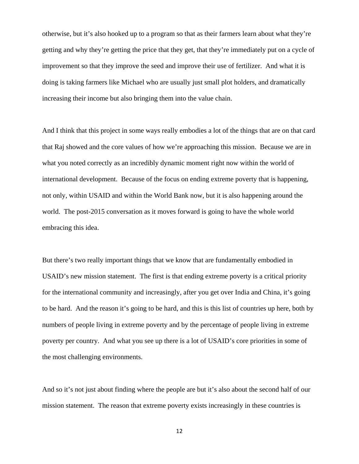otherwise, but it's also hooked up to a program so that as their farmers learn about what they're getting and why they're getting the price that they get, that they're immediately put on a cycle of improvement so that they improve the seed and improve their use of fertilizer. And what it is doing is taking farmers like Michael who are usually just small plot holders, and dramatically increasing their income but also bringing them into the value chain.

And I think that this project in some ways really embodies a lot of the things that are on that card that Raj showed and the core values of how we're approaching this mission. Because we are in what you noted correctly as an incredibly dynamic moment right now within the world of international development. Because of the focus on ending extreme poverty that is happening, not only, within USAID and within the World Bank now, but it is also happening around the world. The post-2015 conversation as it moves forward is going to have the whole world embracing this idea.

But there's two really important things that we know that are fundamentally embodied in USAID's new mission statement. The first is that ending extreme poverty is a critical priority for the international community and increasingly, after you get over India and China, it's going to be hard. And the reason it's going to be hard, and this is this list of countries up here, both by numbers of people living in extreme poverty and by the percentage of people living in extreme poverty per country. And what you see up there is a lot of USAID's core priorities in some of the most challenging environments.

And so it's not just about finding where the people are but it's also about the second half of our mission statement. The reason that extreme poverty exists increasingly in these countries is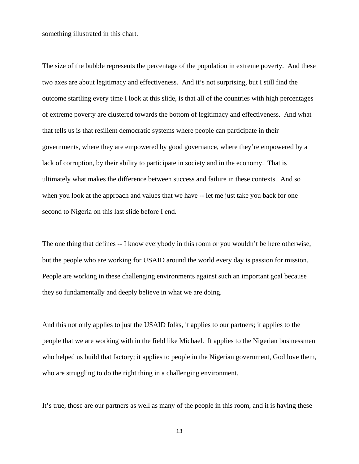something illustrated in this chart.

The size of the bubble represents the percentage of the population in extreme poverty. And these two axes are about legitimacy and effectiveness. And it's not surprising, but I still find the outcome startling every time I look at this slide, is that all of the countries with high percentages of extreme poverty are clustered towards the bottom of legitimacy and effectiveness. And what that tells us is that resilient democratic systems where people can participate in their governments, where they are empowered by good governance, where they're empowered by a lack of corruption, by their ability to participate in society and in the economy. That is ultimately what makes the difference between success and failure in these contexts. And so when you look at the approach and values that we have -- let me just take you back for one second to Nigeria on this last slide before I end.

The one thing that defines -- I know everybody in this room or you wouldn't be here otherwise, but the people who are working for USAID around the world every day is passion for mission. People are working in these challenging environments against such an important goal because they so fundamentally and deeply believe in what we are doing.

And this not only applies to just the USAID folks, it applies to our partners; it applies to the people that we are working with in the field like Michael. It applies to the Nigerian businessmen who helped us build that factory; it applies to people in the Nigerian government, God love them, who are struggling to do the right thing in a challenging environment.

It's true, those are our partners as well as many of the people in this room, and it is having these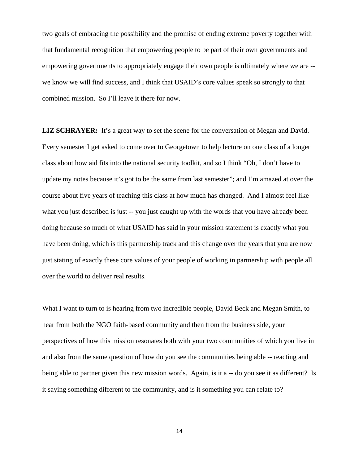two goals of embracing the possibility and the promise of ending extreme poverty together with that fundamental recognition that empowering people to be part of their own governments and empowering governments to appropriately engage their own people is ultimately where we are - we know we will find success, and I think that USAID's core values speak so strongly to that combined mission. So I'll leave it there for now.

**LIZ SCHRAYER:** It's a great way to set the scene for the conversation of Megan and David. Every semester I get asked to come over to Georgetown to help lecture on one class of a longer class about how aid fits into the national security toolkit, and so I think "Oh, I don't have to update my notes because it's got to be the same from last semester"; and I'm amazed at over the course about five years of teaching this class at how much has changed. And I almost feel like what you just described is just -- you just caught up with the words that you have already been doing because so much of what USAID has said in your mission statement is exactly what you have been doing, which is this partnership track and this change over the years that you are now just stating of exactly these core values of your people of working in partnership with people all over the world to deliver real results.

What I want to turn to is hearing from two incredible people, David Beck and Megan Smith, to hear from both the NGO faith-based community and then from the business side, your perspectives of how this mission resonates both with your two communities of which you live in and also from the same question of how do you see the communities being able -- reacting and being able to partner given this new mission words. Again, is it a -- do you see it as different? Is it saying something different to the community, and is it something you can relate to?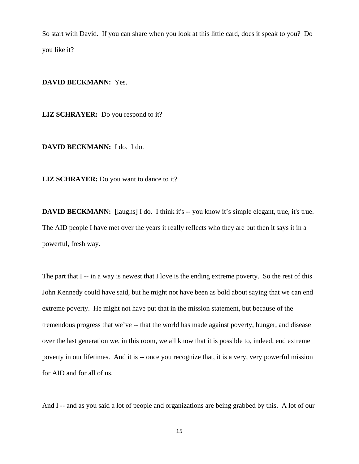So start with David. If you can share when you look at this little card, does it speak to you? Do you like it?

## **DAVID BECKMANN:** Yes.

**LIZ SCHRAYER:** Do you respond to it?

**DAVID BECKMANN:** I do. I do.

**LIZ SCHRAYER:** Do you want to dance to it?

**DAVID BECKMANN:** [laughs] I do. I think it's -- you know it's simple elegant, true, it's true. The AID people I have met over the years it really reflects who they are but then it says it in a powerful, fresh way.

The part that I -- in a way is newest that I love is the ending extreme poverty. So the rest of this John Kennedy could have said, but he might not have been as bold about saying that we can end extreme poverty. He might not have put that in the mission statement, but because of the tremendous progress that we've -- that the world has made against poverty, hunger, and disease over the last generation we, in this room, we all know that it is possible to, indeed, end extreme poverty in our lifetimes. And it is -- once you recognize that, it is a very, very powerful mission for AID and for all of us.

And I -- and as you said a lot of people and organizations are being grabbed by this. A lot of our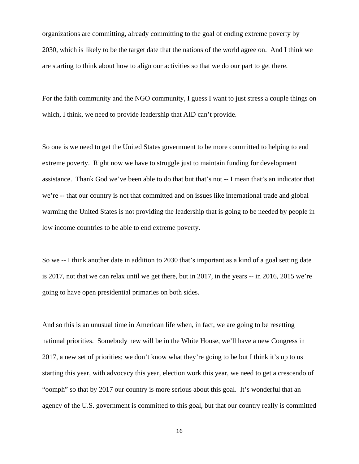organizations are committing, already committing to the goal of ending extreme poverty by 2030, which is likely to be the target date that the nations of the world agree on. And I think we are starting to think about how to align our activities so that we do our part to get there.

For the faith community and the NGO community, I guess I want to just stress a couple things on which, I think, we need to provide leadership that AID can't provide.

So one is we need to get the United States government to be more committed to helping to end extreme poverty. Right now we have to struggle just to maintain funding for development assistance. Thank God we've been able to do that but that's not -- I mean that's an indicator that we're -- that our country is not that committed and on issues like international trade and global warming the United States is not providing the leadership that is going to be needed by people in low income countries to be able to end extreme poverty.

So we -- I think another date in addition to 2030 that's important as a kind of a goal setting date is 2017, not that we can relax until we get there, but in 2017, in the years -- in 2016, 2015 we're going to have open presidential primaries on both sides.

And so this is an unusual time in American life when, in fact, we are going to be resetting national priorities. Somebody new will be in the White House, we'll have a new Congress in 2017, a new set of priorities; we don't know what they're going to be but I think it's up to us starting this year, with advocacy this year, election work this year, we need to get a crescendo of "oomph" so that by 2017 our country is more serious about this goal. It's wonderful that an agency of the U.S. government is committed to this goal, but that our country really is committed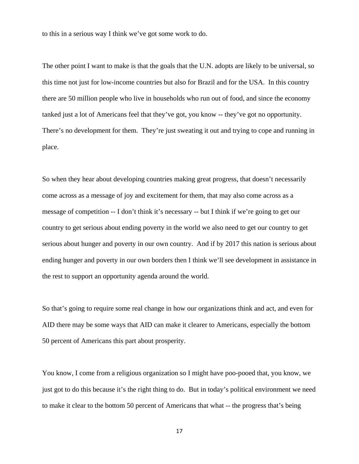to this in a serious way I think we've got some work to do.

The other point I want to make is that the goals that the U.N. adopts are likely to be universal, so this time not just for low-income countries but also for Brazil and for the USA. In this country there are 50 million people who live in households who run out of food, and since the economy tanked just a lot of Americans feel that they've got, you know -- they've got no opportunity. There's no development for them. They're just sweating it out and trying to cope and running in place.

So when they hear about developing countries making great progress, that doesn't necessarily come across as a message of joy and excitement for them, that may also come across as a message of competition -- I don't think it's necessary -- but I think if we're going to get our country to get serious about ending poverty in the world we also need to get our country to get serious about hunger and poverty in our own country. And if by 2017 this nation is serious about ending hunger and poverty in our own borders then I think we'll see development in assistance in the rest to support an opportunity agenda around the world.

So that's going to require some real change in how our organizations think and act, and even for AID there may be some ways that AID can make it clearer to Americans, especially the bottom 50 percent of Americans this part about prosperity.

You know, I come from a religious organization so I might have poo-pooed that, you know, we just got to do this because it's the right thing to do. But in today's political environment we need to make it clear to the bottom 50 percent of Americans that what -- the progress that's being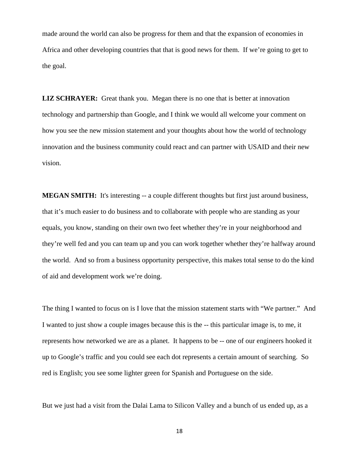made around the world can also be progress for them and that the expansion of economies in Africa and other developing countries that that is good news for them. If we're going to get to the goal.

**LIZ SCHRAYER:** Great thank you. Megan there is no one that is better at innovation technology and partnership than Google, and I think we would all welcome your comment on how you see the new mission statement and your thoughts about how the world of technology innovation and the business community could react and can partner with USAID and their new vision.

**MEGAN SMITH:** It's interesting -- a couple different thoughts but first just around business, that it's much easier to do business and to collaborate with people who are standing as your equals, you know, standing on their own two feet whether they're in your neighborhood and they're well fed and you can team up and you can work together whether they're halfway around the world. And so from a business opportunity perspective, this makes total sense to do the kind of aid and development work we're doing.

The thing I wanted to focus on is I love that the mission statement starts with "We partner." And I wanted to just show a couple images because this is the -- this particular image is, to me, it represents how networked we are as a planet. It happens to be -- one of our engineers hooked it up to Google's traffic and you could see each dot represents a certain amount of searching. So red is English; you see some lighter green for Spanish and Portuguese on the side.

But we just had a visit from the Dalai Lama to Silicon Valley and a bunch of us ended up, as a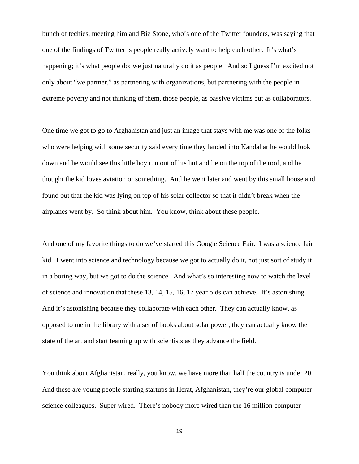bunch of techies, meeting him and Biz Stone, who's one of the Twitter founders, was saying that one of the findings of Twitter is people really actively want to help each other. It's what's happening; it's what people do; we just naturally do it as people. And so I guess I'm excited not only about "we partner," as partnering with organizations, but partnering with the people in extreme poverty and not thinking of them, those people, as passive victims but as collaborators.

One time we got to go to Afghanistan and just an image that stays with me was one of the folks who were helping with some security said every time they landed into Kandahar he would look down and he would see this little boy run out of his hut and lie on the top of the roof, and he thought the kid loves aviation or something. And he went later and went by this small house and found out that the kid was lying on top of his solar collector so that it didn't break when the airplanes went by. So think about him. You know, think about these people.

And one of my favorite things to do we've started this Google Science Fair. I was a science fair kid. I went into science and technology because we got to actually do it, not just sort of study it in a boring way, but we got to do the science. And what's so interesting now to watch the level of science and innovation that these 13, 14, 15, 16, 17 year olds can achieve. It's astonishing. And it's astonishing because they collaborate with each other. They can actually know, as opposed to me in the library with a set of books about solar power, they can actually know the state of the art and start teaming up with scientists as they advance the field.

You think about Afghanistan, really, you know, we have more than half the country is under 20. And these are young people starting startups in Herat, Afghanistan, they're our global computer science colleagues. Super wired. There's nobody more wired than the 16 million computer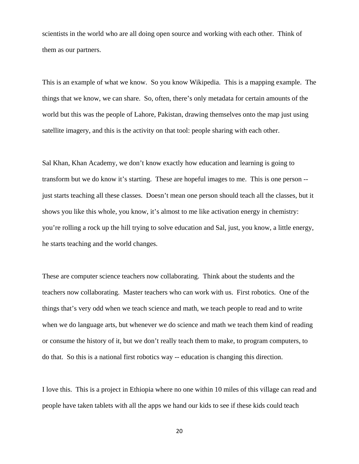scientists in the world who are all doing open source and working with each other. Think of them as our partners.

This is an example of what we know. So you know Wikipedia. This is a mapping example. The things that we know, we can share. So, often, there's only metadata for certain amounts of the world but this was the people of Lahore, Pakistan, drawing themselves onto the map just using satellite imagery, and this is the activity on that tool: people sharing with each other.

Sal Khan, Khan Academy, we don't know exactly how education and learning is going to transform but we do know it's starting. These are hopeful images to me. This is one person - just starts teaching all these classes. Doesn't mean one person should teach all the classes, but it shows you like this whole, you know, it's almost to me like activation energy in chemistry: you're rolling a rock up the hill trying to solve education and Sal, just, you know, a little energy, he starts teaching and the world changes.

These are computer science teachers now collaborating. Think about the students and the teachers now collaborating. Master teachers who can work with us. First robotics. One of the things that's very odd when we teach science and math, we teach people to read and to write when we do language arts, but whenever we do science and math we teach them kind of reading or consume the history of it, but we don't really teach them to make, to program computers, to do that. So this is a national first robotics way -- education is changing this direction.

I love this. This is a project in Ethiopia where no one within 10 miles of this village can read and people have taken tablets with all the apps we hand our kids to see if these kids could teach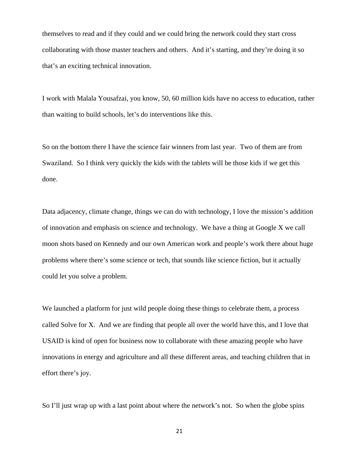themselves to read and if they could and we could bring the network could they start cross collaborating with those master teachers and others. And it's starting, and they're doing it so that's an exciting technical innovation.

I work with Malala Yousafzai, you know, 50, 60 million kids have no access to education, rather than waiting to build schools, let's do interventions like this.

So on the bottom there I have the science fair winners from last year. Two of them are from Swaziland. So I think very quickly the kids with the tablets will be those kids if we get this done.

Data adjacency, climate change, things we can do with technology, I love the mission's addition of innovation and emphasis on science and technology. We have a thing at Google X we call moon shots based on Kennedy and our own American work and people's work there about huge problems where there's some science or tech, that sounds like science fiction, but it actually could let you solve a problem.

We launched a platform for just wild people doing these things to celebrate them, a process called Solve for X. And we are finding that people all over the world have this, and I love that USAID is kind of open for business now to collaborate with these amazing people who have innovations in energy and agriculture and all these different areas, and teaching children that in effort there's joy.

So I'll just wrap up with a last point about where the network's not. So when the globe spins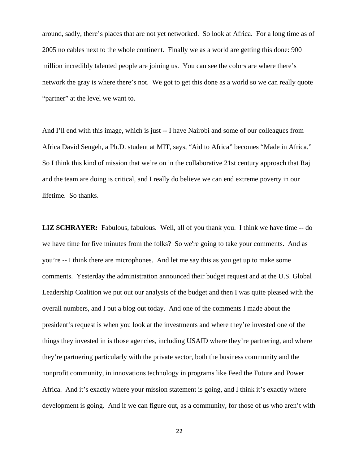around, sadly, there's places that are not yet networked. So look at Africa. For a long time as of 2005 no cables next to the whole continent. Finally we as a world are getting this done: 900 million incredibly talented people are joining us. You can see the colors are where there's network the gray is where there's not. We got to get this done as a world so we can really quote "partner" at the level we want to.

And I'll end with this image, which is just -- I have Nairobi and some of our colleagues from Africa David Sengeh, a Ph.D. student at MIT, says, "Aid to Africa" becomes "Made in Africa." So I think this kind of mission that we're on in the collaborative 21st century approach that Raj and the team are doing is critical, and I really do believe we can end extreme poverty in our lifetime. So thanks.

**LIZ SCHRAYER:** Fabulous, fabulous. Well, all of you thank you. I think we have time -- do we have time for five minutes from the folks? So we're going to take your comments. And as you're -- I think there are microphones. And let me say this as you get up to make some comments. Yesterday the administration announced their budget request and at the U.S. Global Leadership Coalition we put out our analysis of the budget and then I was quite pleased with the overall numbers, and I put a blog out today. And one of the comments I made about the president's request is when you look at the investments and where they're invested one of the things they invested in is those agencies, including USAID where they're partnering, and where they're partnering particularly with the private sector, both the business community and the nonprofit community, in innovations technology in programs like Feed the Future and Power Africa. And it's exactly where your mission statement is going, and I think it's exactly where development is going. And if we can figure out, as a community, for those of us who aren't with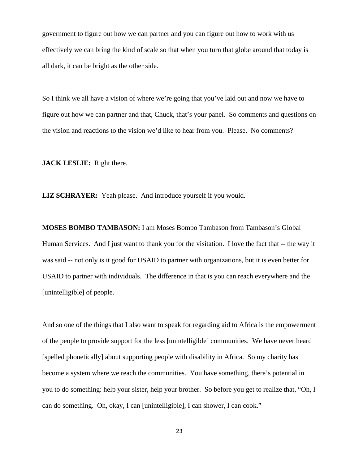government to figure out how we can partner and you can figure out how to work with us effectively we can bring the kind of scale so that when you turn that globe around that today is all dark, it can be bright as the other side.

So I think we all have a vision of where we're going that you've laid out and now we have to figure out how we can partner and that, Chuck, that's your panel. So comments and questions on the vision and reactions to the vision we'd like to hear from you. Please. No comments?

**JACK LESLIE:** Right there.

**LIZ SCHRAYER:** Yeah please. And introduce yourself if you would.

**MOSES BOMBO TAMBASON:** I am Moses Bombo Tambason from Tambason's Global Human Services. And I just want to thank you for the visitation. I love the fact that -- the way it was said -- not only is it good for USAID to partner with organizations, but it is even better for USAID to partner with individuals. The difference in that is you can reach everywhere and the [unintelligible] of people.

And so one of the things that I also want to speak for regarding aid to Africa is the empowerment of the people to provide support for the less [unintelligible] communities. We have never heard [spelled phonetically] about supporting people with disability in Africa. So my charity has become a system where we reach the communities. You have something, there's potential in you to do something: help your sister, help your brother. So before you get to realize that, "Oh, I can do something. Oh, okay, I can [unintelligible], I can shower, I can cook."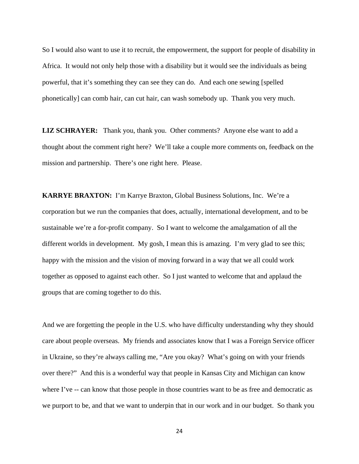So I would also want to use it to recruit, the empowerment, the support for people of disability in Africa. It would not only help those with a disability but it would see the individuals as being powerful, that it's something they can see they can do. And each one sewing [spelled phonetically] can comb hair, can cut hair, can wash somebody up. Thank you very much.

**LIZ SCHRAYER:** Thank you, thank you. Other comments? Anyone else want to add a thought about the comment right here? We'll take a couple more comments on, feedback on the mission and partnership. There's one right here. Please.

**KARRYE BRAXTON:** I'm Karrye Braxton, Global Business Solutions, Inc. We're a corporation but we run the companies that does, actually, international development, and to be sustainable we're a for-profit company. So I want to welcome the amalgamation of all the different worlds in development. My gosh, I mean this is amazing. I'm very glad to see this; happy with the mission and the vision of moving forward in a way that we all could work together as opposed to against each other. So I just wanted to welcome that and applaud the groups that are coming together to do this.

And we are forgetting the people in the U.S. who have difficulty understanding why they should care about people overseas. My friends and associates know that I was a Foreign Service officer in Ukraine, so they're always calling me, "Are you okay? What's going on with your friends over there?" And this is a wonderful way that people in Kansas City and Michigan can know where I've -- can know that those people in those countries want to be as free and democratic as we purport to be, and that we want to underpin that in our work and in our budget. So thank you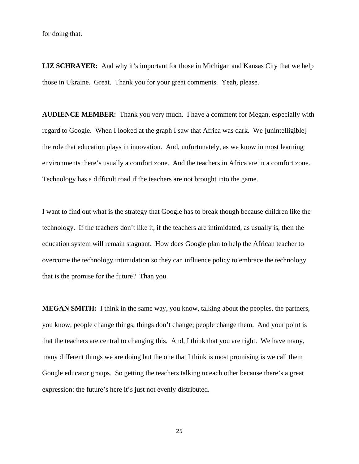for doing that.

**LIZ SCHRAYER:** And why it's important for those in Michigan and Kansas City that we help those in Ukraine. Great. Thank you for your great comments. Yeah, please.

**AUDIENCE MEMBER:** Thank you very much. I have a comment for Megan, especially with regard to Google. When I looked at the graph I saw that Africa was dark. We [unintelligible] the role that education plays in innovation. And, unfortunately, as we know in most learning environments there's usually a comfort zone. And the teachers in Africa are in a comfort zone. Technology has a difficult road if the teachers are not brought into the game.

I want to find out what is the strategy that Google has to break though because children like the technology. If the teachers don't like it, if the teachers are intimidated, as usually is, then the education system will remain stagnant. How does Google plan to help the African teacher to overcome the technology intimidation so they can influence policy to embrace the technology that is the promise for the future? Than you.

**MEGAN SMITH:** I think in the same way, you know, talking about the peoples, the partners, you know, people change things; things don't change; people change them. And your point is that the teachers are central to changing this. And, I think that you are right. We have many, many different things we are doing but the one that I think is most promising is we call them Google educator groups. So getting the teachers talking to each other because there's a great expression: the future's here it's just not evenly distributed.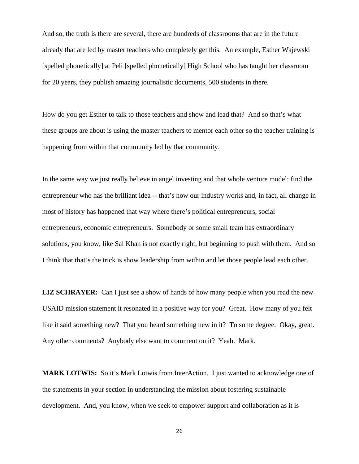And so, the truth is there are several, there are hundreds of classrooms that are in the future already that are led by master teachers who completely get this. An example, Esther Wajewski [spelled phonetically] at Peli [spelled phonetically] High School who has taught her classroom for 20 years, they publish amazing journalistic documents, 500 students in there.

How do you get Esther to talk to those teachers and show and lead that? And so that's what these groups are about is using the master teachers to mentor each other so the teacher training is happening from within that community led by that community.

In the same way we just really believe in angel investing and that whole venture model: find the entrepreneur who has the brilliant idea -- that's how our industry works and, in fact, all change in most of history has happened that way where there's political entrepreneurs, social entrepreneurs, economic entrepreneurs. Somebody or some small team has extraordinary solutions, you know, like Sal Khan is not exactly right, but beginning to push with them. And so I think that that's the trick is show leadership from within and let those people lead each other.

**LIZ SCHRAYER:** Can I just see a show of hands of how many people when you read the new USAID mission statement it resonated in a positive way for you? Great. How many of you felt like it said something new? That you heard something new in it? To some degree. Okay, great. Any other comments? Anybody else want to comment on it? Yeah. Mark.

**MARK LOTWIS:** So it's Mark Lotwis from InterAction. I just wanted to acknowledge one of the statements in your section in understanding the mission about fostering sustainable development. And, you know, when we seek to empower support and collaboration as it is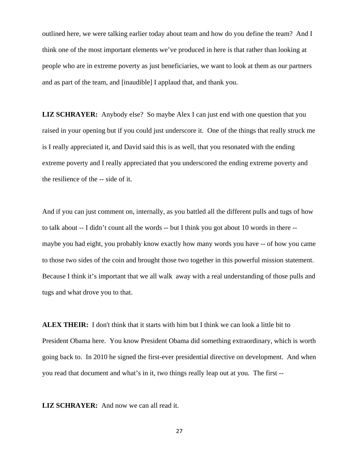outlined here, we were talking earlier today about team and how do you define the team? And I think one of the most important elements we've produced in here is that rather than looking at people who are in extreme poverty as just beneficiaries, we want to look at them as our partners and as part of the team, and [inaudible] I applaud that, and thank you.

**LIZ SCHRAYER:** Anybody else? So maybe Alex I can just end with one question that you raised in your opening but if you could just underscore it. One of the things that really struck me is I really appreciated it, and David said this is as well, that you resonated with the ending extreme poverty and I really appreciated that you underscored the ending extreme poverty and the resilience of the -- side of it.

And if you can just comment on, internally, as you battled all the different pulls and tugs of how to talk about -- I didn't count all the words -- but I think you got about 10 words in there - maybe you had eight, you probably know exactly how many words you have -- of how you came to those two sides of the coin and brought those two together in this powerful mission statement. Because I think it's important that we all walk away with a real understanding of those pulls and tugs and what drove you to that.

**ALEX THEIR:** I don't think that it starts with him but I think we can look a little bit to President Obama here. You know President Obama did something extraordinary, which is worth going back to. In 2010 he signed the first-ever presidential directive on development. And when you read that document and what's in it, two things really leap out at you. The first --

**LIZ SCHRAYER:** And now we can all read it.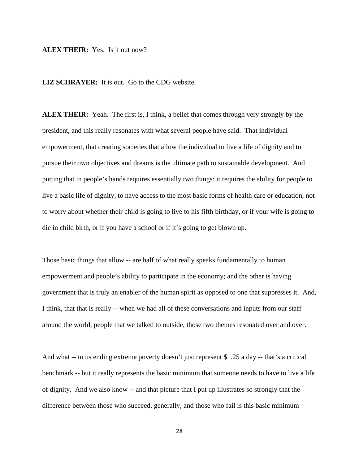#### **ALEX THEIR:** Yes. Is it out now?

**LIZ SCHRAYER:** It is out. Go to the CDG website.

**ALEX THEIR:** Yeah. The first is, I think, a belief that comes through very strongly by the president, and this really resonates with what several people have said. That individual empowerment, that creating societies that allow the individual to live a life of dignity and to pursue their own objectives and dreams is the ultimate path to sustainable development. And putting that in people's hands requires essentially two things: it requires the ability for people to live a basic life of dignity, to have access to the most basic forms of health care or education, not to worry about whether their child is going to live to his fifth birthday, or if your wife is going to die in child birth, or if you have a school or if it's going to get blown up.

Those basic things that allow -- are half of what really speaks fundamentally to human empowerment and people's ability to participate in the economy; and the other is having government that is truly an enabler of the human spirit as opposed to one that suppresses it. And, I think, that that is really -- when we had all of these conversations and inputs from our staff around the world, people that we talked to outside, those two themes resonated over and over.

And what -- to us ending extreme poverty doesn't just represent \$1.25 a day -- that's a critical benchmark -- but it really represents the basic minimum that someone needs to have to live a life of dignity. And we also know -- and that picture that I put up illustrates so strongly that the difference between those who succeed, generally, and those who fail is this basic minimum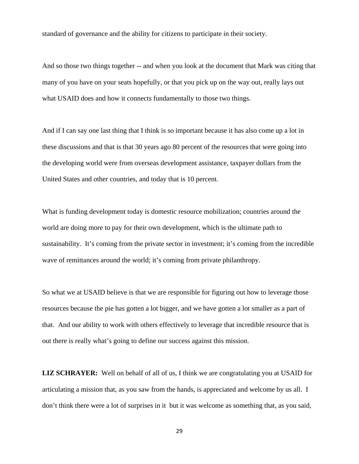standard of governance and the ability for citizens to participate in their society.

And so those two things together -- and when you look at the document that Mark was citing that many of you have on your seats hopefully, or that you pick up on the way out, really lays out what USAID does and how it connects fundamentally to those two things.

And if I can say one last thing that I think is so important because it has also come up a lot in these discussions and that is that 30 years ago 80 percent of the resources that were going into the developing world were from overseas development assistance, taxpayer dollars from the United States and other countries, and today that is 10 percent.

What is funding development today is domestic resource mobilization; countries around the world are doing more to pay for their own development, which is the ultimate path to sustainability. It's coming from the private sector in investment; it's coming from the incredible wave of remittances around the world; it's coming from private philanthropy.

So what we at USAID believe is that we are responsible for figuring out how to leverage those resources because the pie has gotten a lot bigger, and we have gotten a lot smaller as a part of that. And our ability to work with others effectively to leverage that incredible resource that is out there is really what's going to define our success against this mission.

**LIZ SCHRAYER:** Well on behalf of all of us, I think we are congratulating you at USAID for articulating a mission that, as you saw from the hands, is appreciated and welcome by us all. I don't think there were a lot of surprises in it but it was welcome as something that, as you said,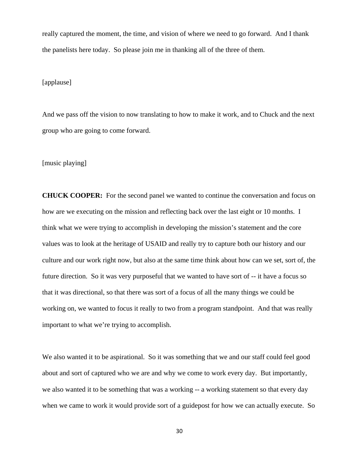really captured the moment, the time, and vision of where we need to go forward. And I thank the panelists here today. So please join me in thanking all of the three of them.

# [applause]

And we pass off the vision to now translating to how to make it work, and to Chuck and the next group who are going to come forward.

[music playing]

**CHUCK COOPER:** For the second panel we wanted to continue the conversation and focus on how are we executing on the mission and reflecting back over the last eight or 10 months. I think what we were trying to accomplish in developing the mission's statement and the core values was to look at the heritage of USAID and really try to capture both our history and our culture and our work right now, but also at the same time think about how can we set, sort of, the future direction. So it was very purposeful that we wanted to have sort of -- it have a focus so that it was directional, so that there was sort of a focus of all the many things we could be working on, we wanted to focus it really to two from a program standpoint. And that was really important to what we're trying to accomplish.

We also wanted it to be aspirational. So it was something that we and our staff could feel good about and sort of captured who we are and why we come to work every day. But importantly, we also wanted it to be something that was a working -- a working statement so that every day when we came to work it would provide sort of a guidepost for how we can actually execute. So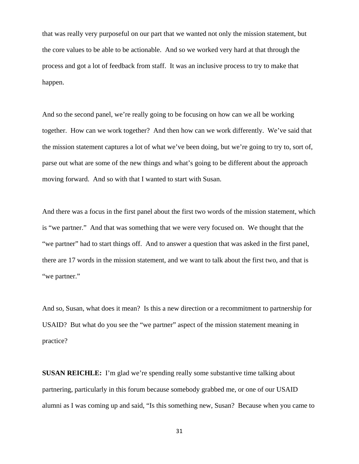that was really very purposeful on our part that we wanted not only the mission statement, but the core values to be able to be actionable. And so we worked very hard at that through the process and got a lot of feedback from staff. It was an inclusive process to try to make that happen.

And so the second panel, we're really going to be focusing on how can we all be working together. How can we work together? And then how can we work differently. We've said that the mission statement captures a lot of what we've been doing, but we're going to try to, sort of, parse out what are some of the new things and what's going to be different about the approach moving forward. And so with that I wanted to start with Susan.

And there was a focus in the first panel about the first two words of the mission statement, which is "we partner." And that was something that we were very focused on. We thought that the "we partner" had to start things off. And to answer a question that was asked in the first panel, there are 17 words in the mission statement, and we want to talk about the first two, and that is "we partner."

And so, Susan, what does it mean? Is this a new direction or a recommitment to partnership for USAID? But what do you see the "we partner" aspect of the mission statement meaning in practice?

**SUSAN REICHLE:** I'm glad we're spending really some substantive time talking about partnering, particularly in this forum because somebody grabbed me, or one of our USAID alumni as I was coming up and said, "Is this something new, Susan? Because when you came to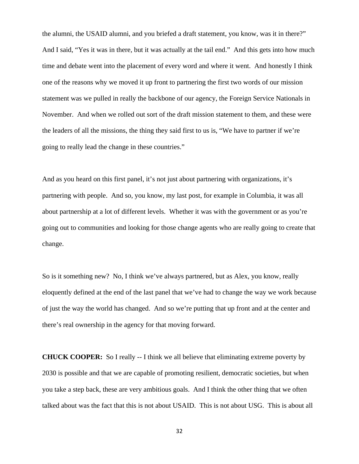the alumni, the USAID alumni, and you briefed a draft statement, you know, was it in there?" And I said, "Yes it was in there, but it was actually at the tail end." And this gets into how much time and debate went into the placement of every word and where it went. And honestly I think one of the reasons why we moved it up front to partnering the first two words of our mission statement was we pulled in really the backbone of our agency, the Foreign Service Nationals in November. And when we rolled out sort of the draft mission statement to them, and these were the leaders of all the missions, the thing they said first to us is, "We have to partner if we're going to really lead the change in these countries."

And as you heard on this first panel, it's not just about partnering with organizations, it's partnering with people. And so, you know, my last post, for example in Columbia, it was all about partnership at a lot of different levels. Whether it was with the government or as you're going out to communities and looking for those change agents who are really going to create that change.

So is it something new? No, I think we've always partnered, but as Alex, you know, really eloquently defined at the end of the last panel that we've had to change the way we work because of just the way the world has changed. And so we're putting that up front and at the center and there's real ownership in the agency for that moving forward.

**CHUCK COOPER:** So I really -- I think we all believe that eliminating extreme poverty by 2030 is possible and that we are capable of promoting resilient, democratic societies, but when you take a step back, these are very ambitious goals. And I think the other thing that we often talked about was the fact that this is not about USAID. This is not about USG. This is about all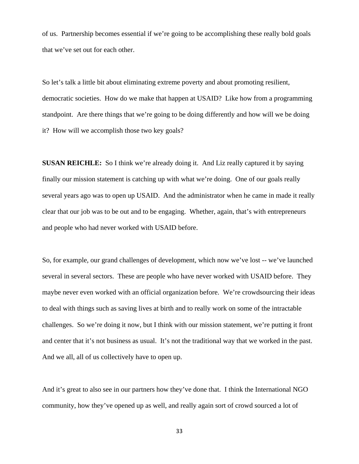of us. Partnership becomes essential if we're going to be accomplishing these really bold goals that we've set out for each other.

So let's talk a little bit about eliminating extreme poverty and about promoting resilient, democratic societies. How do we make that happen at USAID? Like how from a programming standpoint. Are there things that we're going to be doing differently and how will we be doing it? How will we accomplish those two key goals?

**SUSAN REICHLE:** So I think we're already doing it. And Liz really captured it by saying finally our mission statement is catching up with what we're doing. One of our goals really several years ago was to open up USAID. And the administrator when he came in made it really clear that our job was to be out and to be engaging. Whether, again, that's with entrepreneurs and people who had never worked with USAID before.

So, for example, our grand challenges of development, which now we've lost -- we've launched several in several sectors. These are people who have never worked with USAID before. They maybe never even worked with an official organization before. We're crowdsourcing their ideas to deal with things such as saving lives at birth and to really work on some of the intractable challenges. So we're doing it now, but I think with our mission statement, we're putting it front and center that it's not business as usual. It's not the traditional way that we worked in the past. And we all, all of us collectively have to open up.

And it's great to also see in our partners how they've done that. I think the International NGO community, how they've opened up as well, and really again sort of crowd sourced a lot of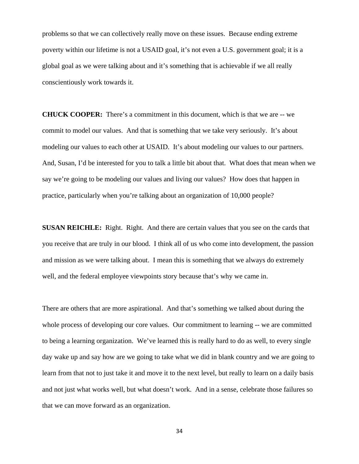problems so that we can collectively really move on these issues. Because ending extreme poverty within our lifetime is not a USAID goal, it's not even a U.S. government goal; it is a global goal as we were talking about and it's something that is achievable if we all really conscientiously work towards it.

**CHUCK COOPER:** There's a commitment in this document, which is that we are -- we commit to model our values. And that is something that we take very seriously. It's about modeling our values to each other at USAID. It's about modeling our values to our partners. And, Susan, I'd be interested for you to talk a little bit about that. What does that mean when we say we're going to be modeling our values and living our values? How does that happen in practice, particularly when you're talking about an organization of 10,000 people?

**SUSAN REICHLE:** Right. Right. And there are certain values that you see on the cards that you receive that are truly in our blood. I think all of us who come into development, the passion and mission as we were talking about. I mean this is something that we always do extremely well, and the federal employee viewpoints story because that's why we came in.

There are others that are more aspirational. And that's something we talked about during the whole process of developing our core values. Our commitment to learning -- we are committed to being a learning organization. We've learned this is really hard to do as well, to every single day wake up and say how are we going to take what we did in blank country and we are going to learn from that not to just take it and move it to the next level, but really to learn on a daily basis and not just what works well, but what doesn't work. And in a sense, celebrate those failures so that we can move forward as an organization.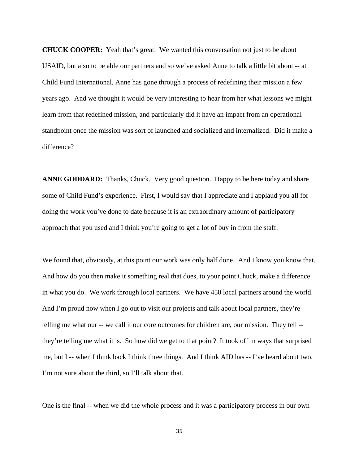**CHUCK COOPER:** Yeah that's great. We wanted this conversation not just to be about USAID, but also to be able our partners and so we've asked Anne to talk a little bit about -- at Child Fund International, Anne has gone through a process of redefining their mission a few years ago. And we thought it would be very interesting to hear from her what lessons we might learn from that redefined mission, and particularly did it have an impact from an operational standpoint once the mission was sort of launched and socialized and internalized. Did it make a difference?

**ANNE GODDARD:** Thanks, Chuck. Very good question. Happy to be here today and share some of Child Fund's experience. First, I would say that I appreciate and I applaud you all for doing the work you've done to date because it is an extraordinary amount of participatory approach that you used and I think you're going to get a lot of buy in from the staff.

We found that, obviously, at this point our work was only half done. And I know you know that. And how do you then make it something real that does, to your point Chuck, make a difference in what you do. We work through local partners. We have 450 local partners around the world. And I'm proud now when I go out to visit our projects and talk about local partners, they're telling me what our -- we call it our core outcomes for children are, our mission. They tell - they're telling me what it is. So how did we get to that point? It took off in ways that surprised me, but I -- when I think back I think three things. And I think AID has -- I've heard about two, I'm not sure about the third, so I'll talk about that.

One is the final -- when we did the whole process and it was a participatory process in our own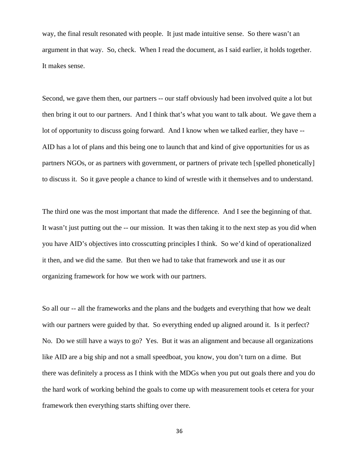way, the final result resonated with people. It just made intuitive sense. So there wasn't an argument in that way. So, check. When I read the document, as I said earlier, it holds together. It makes sense.

Second, we gave them then, our partners -- our staff obviously had been involved quite a lot but then bring it out to our partners. And I think that's what you want to talk about. We gave them a lot of opportunity to discuss going forward. And I know when we talked earlier, they have -- AID has a lot of plans and this being one to launch that and kind of give opportunities for us as partners NGOs, or as partners with government, or partners of private tech [spelled phonetically] to discuss it. So it gave people a chance to kind of wrestle with it themselves and to understand.

The third one was the most important that made the difference. And I see the beginning of that. It wasn't just putting out the -- our mission. It was then taking it to the next step as you did when you have AID's objectives into crosscutting principles I think. So we'd kind of operationalized it then, and we did the same. But then we had to take that framework and use it as our organizing framework for how we work with our partners.

So all our -- all the frameworks and the plans and the budgets and everything that how we dealt with our partners were guided by that. So everything ended up aligned around it. Is it perfect? No. Do we still have a ways to go? Yes. But it was an alignment and because all organizations like AID are a big ship and not a small speedboat, you know, you don't turn on a dime. But there was definitely a process as I think with the MDGs when you put out goals there and you do the hard work of working behind the goals to come up with measurement tools et cetera for your framework then everything starts shifting over there.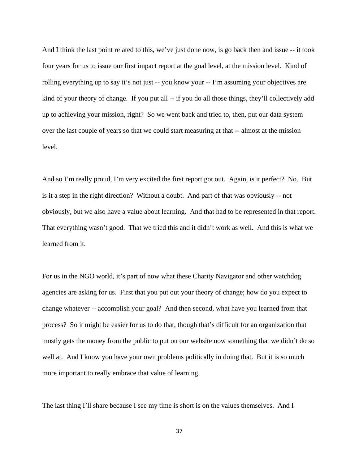And I think the last point related to this, we've just done now, is go back then and issue -- it took four years for us to issue our first impact report at the goal level, at the mission level. Kind of rolling everything up to say it's not just -- you know your -- I'm assuming your objectives are kind of your theory of change. If you put all -- if you do all those things, they'll collectively add up to achieving your mission, right? So we went back and tried to, then, put our data system over the last couple of years so that we could start measuring at that -- almost at the mission level.

And so I'm really proud, I'm very excited the first report got out. Again, is it perfect? No. But is it a step in the right direction? Without a doubt. And part of that was obviously -- not obviously, but we also have a value about learning. And that had to be represented in that report. That everything wasn't good. That we tried this and it didn't work as well. And this is what we learned from it.

For us in the NGO world, it's part of now what these Charity Navigator and other watchdog agencies are asking for us. First that you put out your theory of change; how do you expect to change whatever -- accomplish your goal? And then second, what have you learned from that process? So it might be easier for us to do that, though that's difficult for an organization that mostly gets the money from the public to put on our website now something that we didn't do so well at. And I know you have your own problems politically in doing that. But it is so much more important to really embrace that value of learning.

The last thing I'll share because I see my time is short is on the values themselves. And I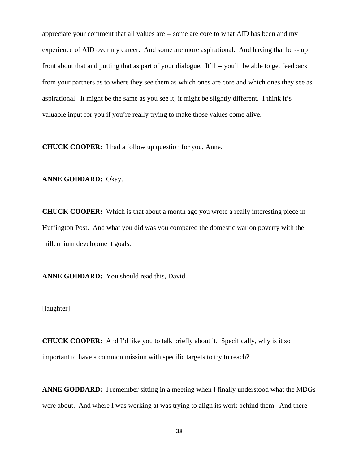appreciate your comment that all values are -- some are core to what AID has been and my experience of AID over my career. And some are more aspirational. And having that be -- up front about that and putting that as part of your dialogue. It'll -- you'll be able to get feedback from your partners as to where they see them as which ones are core and which ones they see as aspirational. It might be the same as you see it; it might be slightly different. I think it's valuable input for you if you're really trying to make those values come alive.

**CHUCK COOPER:** I had a follow up question for you, Anne.

**ANNE GODDARD:** Okay.

**CHUCK COOPER:** Which is that about a month ago you wrote a really interesting piece in Huffington Post. And what you did was you compared the domestic war on poverty with the millennium development goals.

**ANNE GODDARD:** You should read this, David.

[laughter]

**CHUCK COOPER:** And I'd like you to talk briefly about it. Specifically, why is it so important to have a common mission with specific targets to try to reach?

**ANNE GODDARD:** I remember sitting in a meeting when I finally understood what the MDGs were about. And where I was working at was trying to align its work behind them. And there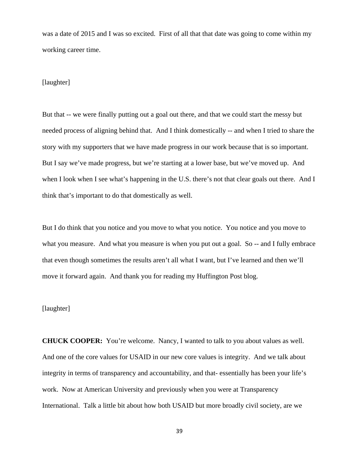was a date of 2015 and I was so excited. First of all that that date was going to come within my working career time.

#### [laughter]

But that -- we were finally putting out a goal out there, and that we could start the messy but needed process of aligning behind that. And I think domestically -- and when I tried to share the story with my supporters that we have made progress in our work because that is so important. But I say we've made progress, but we're starting at a lower base, but we've moved up. And when I look when I see what's happening in the U.S. there's not that clear goals out there. And I think that's important to do that domestically as well.

But I do think that you notice and you move to what you notice. You notice and you move to what you measure. And what you measure is when you put out a goal. So -- and I fully embrace that even though sometimes the results aren't all what I want, but I've learned and then we'll move it forward again. And thank you for reading my Huffington Post blog.

# [laughter]

**CHUCK COOPER:** You're welcome. Nancy, I wanted to talk to you about values as well. And one of the core values for USAID in our new core values is integrity. And we talk about integrity in terms of transparency and accountability, and that- essentially has been your life's work. Now at American University and previously when you were at Transparency International. Talk a little bit about how both USAID but more broadly civil society, are we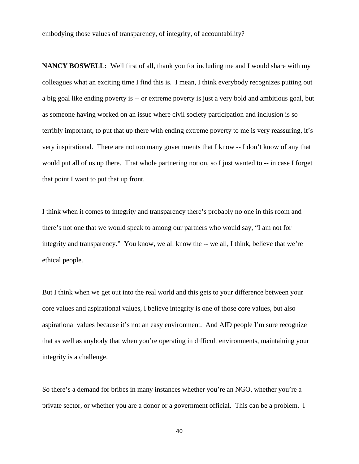embodying those values of transparency, of integrity, of accountability?

**NANCY BOSWELL:** Well first of all, thank you for including me and I would share with my colleagues what an exciting time I find this is. I mean, I think everybody recognizes putting out a big goal like ending poverty is -- or extreme poverty is just a very bold and ambitious goal, but as someone having worked on an issue where civil society participation and inclusion is so terribly important, to put that up there with ending extreme poverty to me is very reassuring, it's very inspirational. There are not too many governments that I know -- I don't know of any that would put all of us up there. That whole partnering notion, so I just wanted to -- in case I forget that point I want to put that up front.

I think when it comes to integrity and transparency there's probably no one in this room and there's not one that we would speak to among our partners who would say, "I am not for integrity and transparency." You know, we all know the -- we all, I think, believe that we're ethical people.

But I think when we get out into the real world and this gets to your difference between your core values and aspirational values, I believe integrity is one of those core values, but also aspirational values because it's not an easy environment. And AID people I'm sure recognize that as well as anybody that when you're operating in difficult environments, maintaining your integrity is a challenge.

So there's a demand for bribes in many instances whether you're an NGO, whether you're a private sector, or whether you are a donor or a government official. This can be a problem. I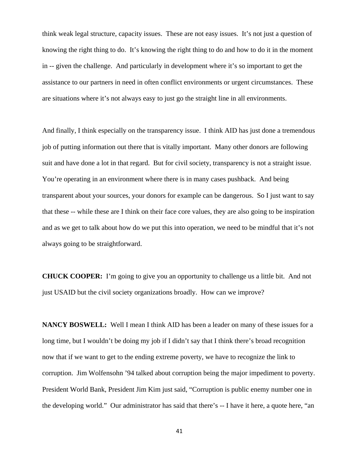think weak legal structure, capacity issues. These are not easy issues. It's not just a question of knowing the right thing to do. It's knowing the right thing to do and how to do it in the moment in -- given the challenge. And particularly in development where it's so important to get the assistance to our partners in need in often conflict environments or urgent circumstances. These are situations where it's not always easy to just go the straight line in all environments.

And finally, I think especially on the transparency issue. I think AID has just done a tremendous job of putting information out there that is vitally important. Many other donors are following suit and have done a lot in that regard. But for civil society, transparency is not a straight issue. You're operating in an environment where there is in many cases pushback. And being transparent about your sources, your donors for example can be dangerous. So I just want to say that these -- while these are I think on their face core values, they are also going to be inspiration and as we get to talk about how do we put this into operation, we need to be mindful that it's not always going to be straightforward.

**CHUCK COOPER:** I'm going to give you an opportunity to challenge us a little bit. And not just USAID but the civil society organizations broadly. How can we improve?

**NANCY BOSWELL:** Well I mean I think AID has been a leader on many of these issues for a long time, but I wouldn't be doing my job if I didn't say that I think there's broad recognition now that if we want to get to the ending extreme poverty, we have to recognize the link to corruption. Jim Wolfensohn '94 talked about corruption being the major impediment to poverty. President World Bank, President Jim Kim just said, "Corruption is public enemy number one in the developing world." Our administrator has said that there's -- I have it here, a quote here, "an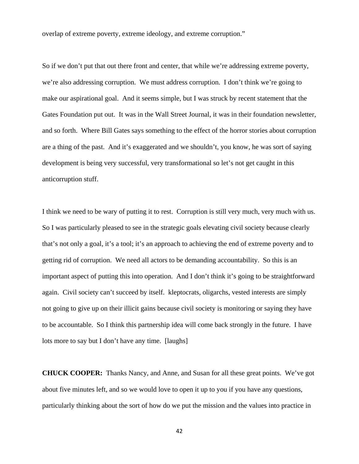overlap of extreme poverty, extreme ideology, and extreme corruption."

So if we don't put that out there front and center, that while we're addressing extreme poverty, we're also addressing corruption. We must address corruption. I don't think we're going to make our aspirational goal. And it seems simple, but I was struck by recent statement that the Gates Foundation put out. It was in the Wall Street Journal, it was in their foundation newsletter, and so forth. Where Bill Gates says something to the effect of the horror stories about corruption are a thing of the past. And it's exaggerated and we shouldn't, you know, he was sort of saying development is being very successful, very transformational so let's not get caught in this anticorruption stuff.

I think we need to be wary of putting it to rest. Corruption is still very much, very much with us. So I was particularly pleased to see in the strategic goals elevating civil society because clearly that's not only a goal, it's a tool; it's an approach to achieving the end of extreme poverty and to getting rid of corruption. We need all actors to be demanding accountability. So this is an important aspect of putting this into operation. And I don't think it's going to be straightforward again. Civil society can't succeed by itself. kleptocrats, oligarchs, vested interests are simply not going to give up on their illicit gains because civil society is monitoring or saying they have to be accountable. So I think this partnership idea will come back strongly in the future. I have lots more to say but I don't have any time. [laughs]

**CHUCK COOPER:** Thanks Nancy, and Anne, and Susan for all these great points. We've got about five minutes left, and so we would love to open it up to you if you have any questions, particularly thinking about the sort of how do we put the mission and the values into practice in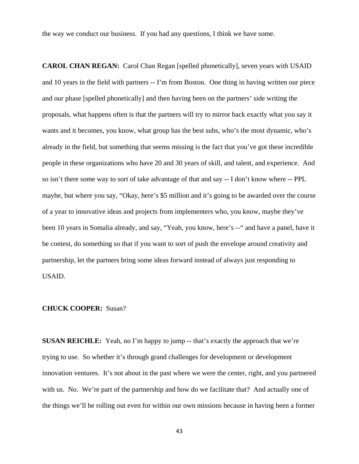the way we conduct our business. If you had any questions, I think we have some.

**CAROL CHAN REGAN:** Carol Chan Regan [spelled phonetically], seven years with USAID and 10 years in the field with partners -- I'm from Boston. One thing in having written our piece and our phase [spelled phonetically] and then having been on the partners' side writing the proposals, what happens often is that the partners will try to mirror back exactly what you say it wants and it becomes, you know, what group has the best subs, who's the most dynamic, who's already in the field, but something that seems missing is the fact that you've got these incredible people in these organizations who have 20 and 30 years of skill, and talent, and experience. And so isn't there some way to sort of take advantage of that and say -- I don't know where -- PPL maybe, but where you say, "Okay, here's \$5 million and it's going to be awarded over the course of a year to innovative ideas and projects from implementers who, you know, maybe they've been 10 years in Somalia already, and say, "Yeah, you know, here's --" and have a panel, have it be contest, do something so that if you want to sort of push the envelope around creativity and partnership, let the partners bring some ideas forward instead of always just responding to USAID.

#### **CHUCK COOPER:** Susan?

**SUSAN REICHLE:** Yeah, no I'm happy to jump -- that's exactly the approach that we're trying to use. So whether it's through grand challenges for development or development innovation ventures. It's not about in the past where we were the center, right, and you partnered with us. No. We're part of the partnership and how do we facilitate that? And actually one of the things we'll be rolling out even for within our own missions because in having been a former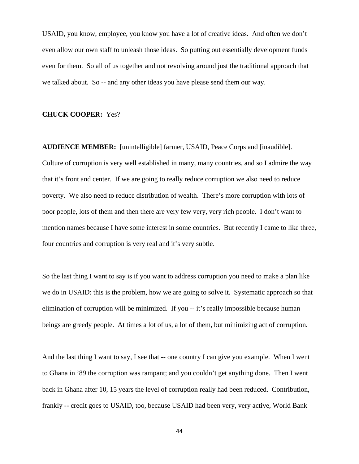USAID, you know, employee, you know you have a lot of creative ideas. And often we don't even allow our own staff to unleash those ideas. So putting out essentially development funds even for them. So all of us together and not revolving around just the traditional approach that we talked about. So -- and any other ideas you have please send them our way.

#### **CHUCK COOPER:** Yes?

**AUDIENCE MEMBER:** [unintelligible] farmer, USAID, Peace Corps and [inaudible]. Culture of corruption is very well established in many, many countries, and so I admire the way that it's front and center. If we are going to really reduce corruption we also need to reduce poverty. We also need to reduce distribution of wealth. There's more corruption with lots of poor people, lots of them and then there are very few very, very rich people. I don't want to mention names because I have some interest in some countries. But recently I came to like three, four countries and corruption is very real and it's very subtle.

So the last thing I want to say is if you want to address corruption you need to make a plan like we do in USAID: this is the problem, how we are going to solve it. Systematic approach so that elimination of corruption will be minimized. If you -- it's really impossible because human beings are greedy people. At times a lot of us, a lot of them, but minimizing act of corruption.

And the last thing I want to say, I see that -- one country I can give you example. When I went to Ghana in '89 the corruption was rampant; and you couldn't get anything done. Then I went back in Ghana after 10, 15 years the level of corruption really had been reduced. Contribution, frankly -- credit goes to USAID, too, because USAID had been very, very active, World Bank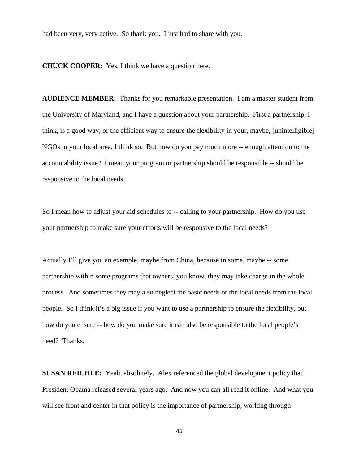had been very, very active. So thank you. I just had to share with you.

**CHUCK COOPER:** Yes, I think we have a question here.

**AUDIENCE MEMBER:** Thanks for you remarkable presentation. I am a master student from the University of Maryland, and I have a question about your partnership. First a partnership, I think, is a good way, or the efficient way to ensure the flexibility in your, maybe, [unintelligible] NGOs in your local area, I think so. But how do you pay much more -- enough attention to the accountability issue? I mean your program or partnership should be responsible -- should be responsive to the local needs.

So I mean how to adjust your aid schedules to -- calling to your partnership. How do you use your partnership to make sure your efforts will be responsive to the local needs?

Actually I'll give you an example, maybe from China, because in some, maybe -- some partnership within some programs that owners, you know, they may take charge in the whole process. And sometimes they may also neglect the basic needs or the local needs from the local people. So I think it's a big issue if you want to use a partnership to ensure the flexibility, but how do you ensure -- how do you make sure it can also be responsible to the local people's need? Thanks.

**SUSAN REICHLE:** Yeah, absolutely. Alex referenced the global development policy that President Obama released several years ago. And now you can all read it online. And what you will see front and center in that policy is the importance of partnership, working through